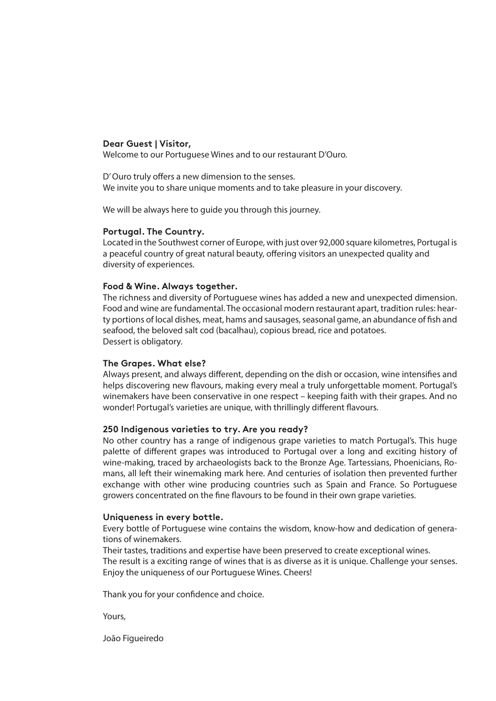### **Dear Guest | Visitor,**

Welcome to our Portuguese Wines and to our restaurant D'Ouro.

D' Ouro truly offers a new dimension to the senses. We invite you to share unique moments and to take pleasure in your discovery.

We will be always here to guide you through this journey.

#### **Portugal. The Country.**

Located in the Southwest corner of Europe, with just over 92,000 square kilometres, Portugal is a peaceful country of great natural beauty, offering visitors an unexpected quality and diversity of experiences.

#### **Food & Wine. Always together.**

The richness and diversity of Portuguese wines has added a new and unexpected dimension. Food and wine are fundamental. The occasional modern restaurant apart, tradition rules: hearty portions of local dishes, meat, hams and sausages, seasonal game, an abundance of fish and seafood, the beloved salt cod (bacalhau), copious bread, rice and potatoes. Dessert is obligatory.

#### **The Grapes. What else?**

Always present, and always different, depending on the dish or occasion, wine intensifies and helps discovering new flavours, making every meal a truly unforgettable moment. Portugal's winemakers have been conservative in one respect – keeping faith with their grapes. And no wonder! Portugal's varieties are unique, with thrillingly different flavours.

#### **250 Indigenous varieties to try. Are you ready?**

No other country has a range of indigenous grape varieties to match Portugal's. This huge palette of different grapes was introduced to Portugal over a long and exciting history of wine-making, traced by archaeologists back to the Bronze Age. Tartessians, Phoenicians, Romans, all left their winemaking mark here. And centuries of isolation then prevented further exchange with other wine producing countries such as Spain and France. So Portuguese growers concentrated on the fine flavours to be found in their own grape varieties.

#### **Uniqueness in every bottle.**

Every bottle of Portuguese wine contains the wisdom, know-how and dedication of generations of winemakers.

Their tastes, traditions and expertise have been preserved to create exceptional wines. The result is a exciting range of wines that is as diverse as it is unique. Challenge your senses. Enjoy the uniqueness of our Portuguese Wines. Cheers!

Thank you for your confidence and choice.

Yours,

João Figueiredo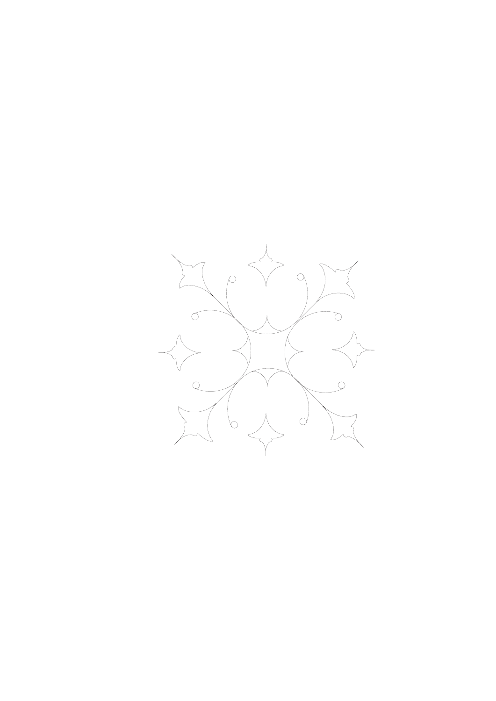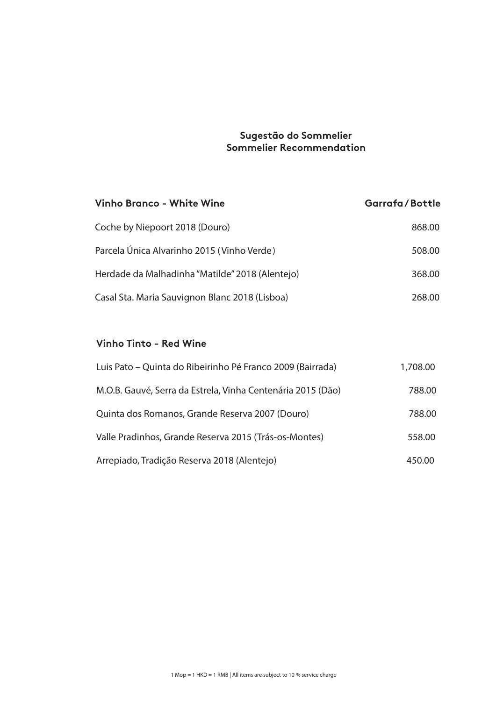### **Sugestão do Sommelier Sommelier Recommendation**

| Vinho Branco - White Wine                       | <b>Garrafa/Bottle</b> |
|-------------------------------------------------|-----------------------|
| Coche by Niepoort 2018 (Douro)                  | 868.00                |
| Parcela Única Alvarinho 2015 (Vinho Verde)      | 508.00                |
| Herdade da Malhadinha "Matilde" 2018 (Alentejo) | 368.00                |
| Casal Sta. Maria Sauvignon Blanc 2018 (Lisboa)  | 268.00                |

## **Vinho Tinto - Red Wine**

| Luis Pato – Quinta do Ribeirinho Pé Franco 2009 (Bairrada)  | 1,708.00 |
|-------------------------------------------------------------|----------|
| M.O.B. Gauvé, Serra da Estrela, Vinha Centenária 2015 (Dão) | 788.00   |
| Quinta dos Romanos, Grande Reserva 2007 (Douro)             | 788.00   |
| Valle Pradinhos, Grande Reserva 2015 (Trás-os-Montes)       | 558.00   |
| Arrepiado, Tradição Reserva 2018 (Alentejo)                 | 450.00   |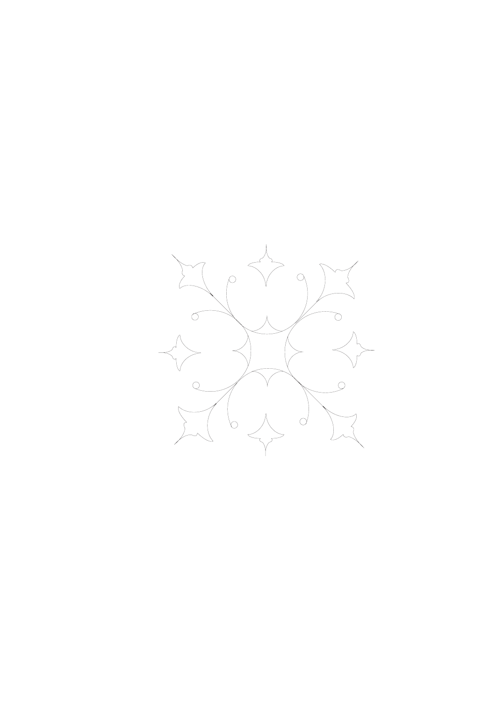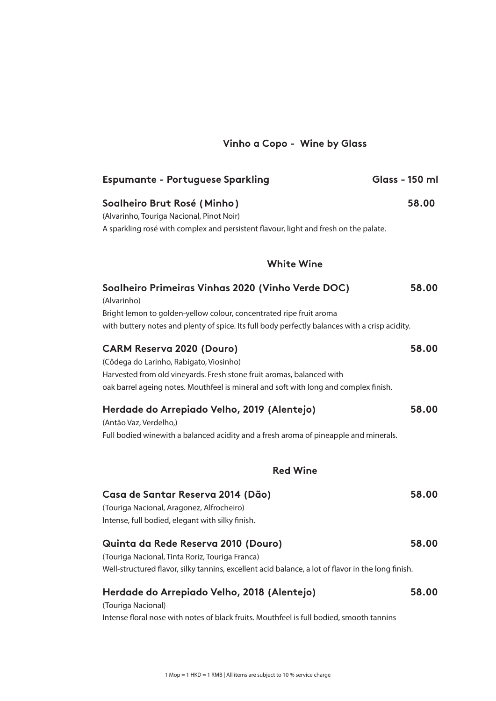# **Vinho a Copo - Wine by Glass**

| <b>Espumante - Portuguese Sparkling</b>                                                                                                                                                                                                      | Glass - 150 ml |
|----------------------------------------------------------------------------------------------------------------------------------------------------------------------------------------------------------------------------------------------|----------------|
| Soalheiro Brut Rosé (Minho)<br>(Alvarinho, Touriga Nacional, Pinot Noir)<br>A sparkling rosé with complex and persistent flavour, light and fresh on the palate.                                                                             | 58.00          |
| <b>White Wine</b>                                                                                                                                                                                                                            |                |
| Soalheiro Primeiras Vinhas 2020 (Vinho Verde DOC)<br>(Alvarinho)<br>Bright lemon to golden-yellow colour, concentrated ripe fruit aroma<br>with buttery notes and plenty of spice. Its full body perfectly balances with a crisp acidity.    | 58.00          |
| <b>CARM Reserva 2020 (Douro)</b><br>(Côdega do Larinho, Rabigato, Viosinho)<br>Harvested from old vineyards. Fresh stone fruit aromas, balanced with<br>oak barrel ageing notes. Mouthfeel is mineral and soft with long and complex finish. | 58.00          |
| Herdade do Arrepiado Velho, 2019 (Alentejo)<br>(Antão Vaz, Verdelho,)<br>Full bodied winewith a balanced acidity and a fresh aroma of pineapple and minerals.                                                                                | 58.00          |
| <b>Red Wine</b>                                                                                                                                                                                                                              |                |
| Casa de Santar Reserva 2014 (Dão)<br>(Touriga Nacional, Aragonez, Alfrocheiro)<br>Intense, full bodied, elegant with silky finish.                                                                                                           | 58.00          |
| Quinta da Rede Reserva 2010 (Douro)<br>(Touriga Nacional, Tinta Roriz, Touriga Franca)<br>Well-structured flavor, silky tannins, excellent acid balance, a lot of flavor in the long finish.                                                 | 58.00          |
| Herdade do Arrepiado Velho, 2018 (Alentejo)<br>(Touriga Nacional)<br>Intense floral nose with notes of black fruits. Mouthfeel is full bodied, smooth tannins                                                                                | 58.00          |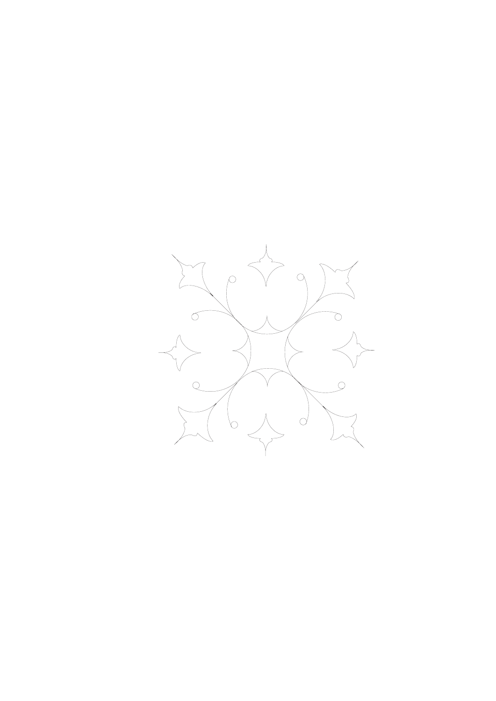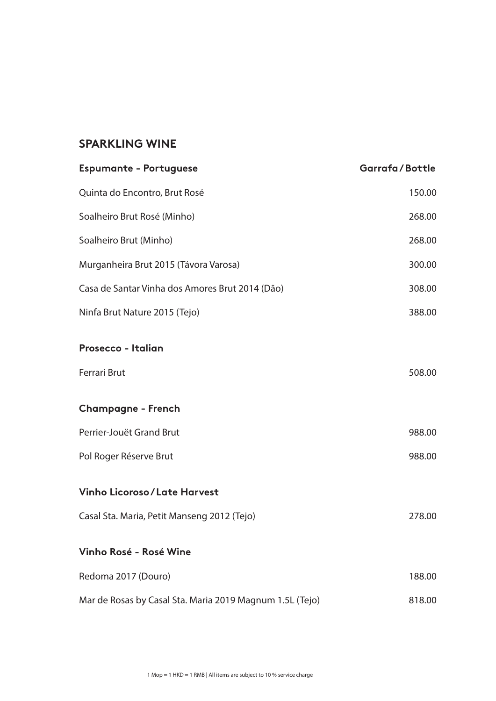## **SPARKLING WINE**

| <b>Espumante - Portuguese</b>                            | Garrafa/Bottle |
|----------------------------------------------------------|----------------|
| Quinta do Encontro, Brut Rosé                            | 150.00         |
| Soalheiro Brut Rosé (Minho)                              | 268.00         |
| Soalheiro Brut (Minho)                                   | 268.00         |
| Murganheira Brut 2015 (Távora Varosa)                    | 300.00         |
| Casa de Santar Vinha dos Amores Brut 2014 (Dão)          | 308.00         |
| Ninfa Brut Nature 2015 (Tejo)                            | 388.00         |
| Prosecco - Italian                                       |                |
| <b>Ferrari Brut</b>                                      | 508.00         |
| <b>Champagne - French</b>                                |                |
| Perrier-Jouët Grand Brut                                 | 988.00         |
| Pol Roger Réserve Brut                                   | 988.00         |
| <b>Vinho Licoroso/Late Harvest</b>                       |                |
| Casal Sta. Maria, Petit Manseng 2012 (Tejo)              | 278.00         |
| Vinho Rosé - Rosé Wine                                   |                |
| Redoma 2017 (Douro)                                      | 188.00         |
| Mar de Rosas by Casal Sta. Maria 2019 Magnum 1.5L (Tejo) | 818.00         |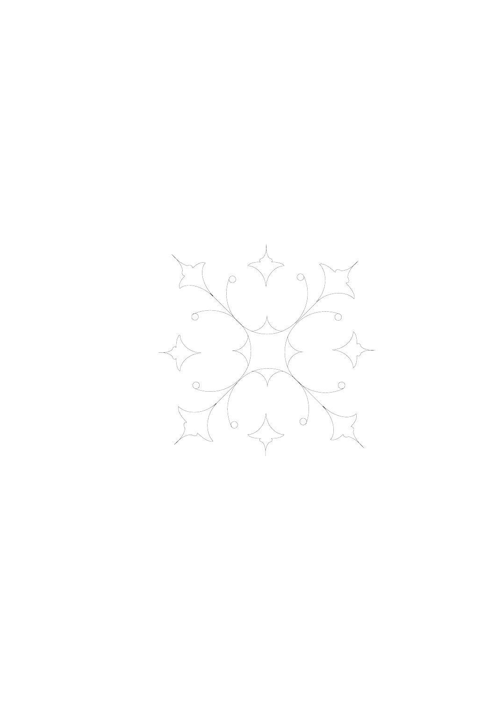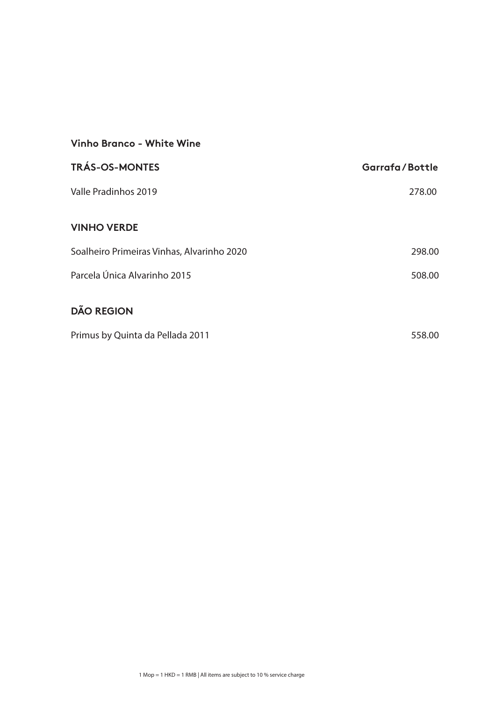| Vinho Branco - White Wine                  |                |
|--------------------------------------------|----------------|
| <b>TRÁS-OS-MONTES</b>                      | Garrafa/Bottle |
| Valle Pradinhos 2019                       | 278.00         |
| <b>VINHO VERDE</b>                         |                |
| Soalheiro Primeiras Vinhas, Alvarinho 2020 | 298.00         |
| Parcela Única Alvarinho 2015               | 508.00         |
| <b>DÃO REGION</b>                          |                |
| Primus by Quinta da Pellada 2011           | 558.00         |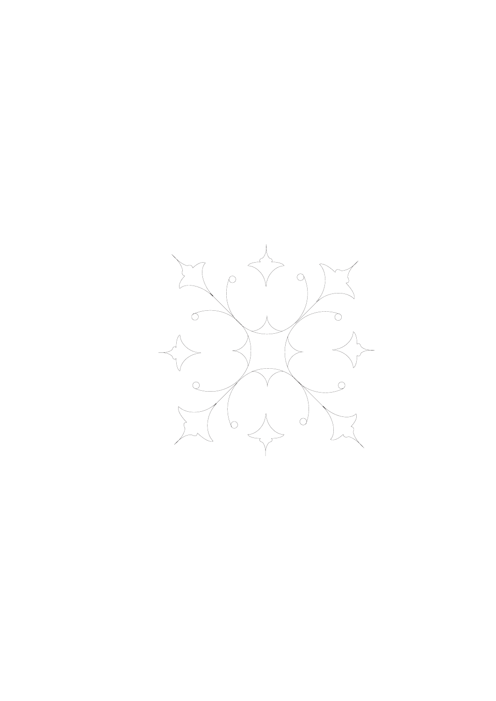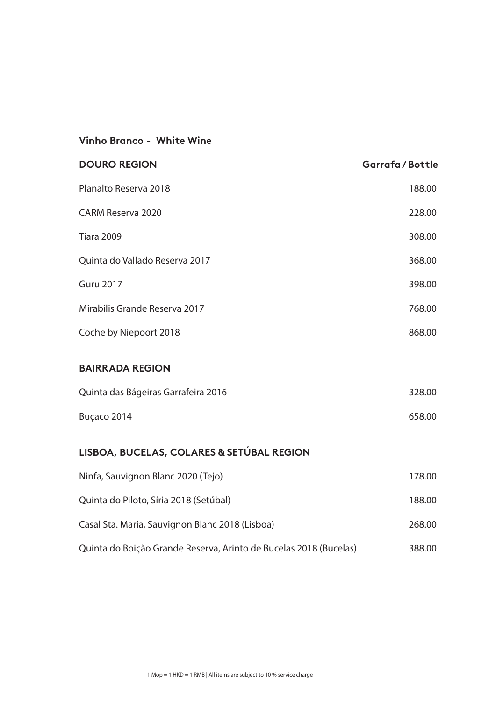| <b>DOURO REGION</b>                             | Garrafa/Bottle |
|-------------------------------------------------|----------------|
| Planalto Reserva 2018                           | 188.00         |
| <b>CARM Reserva 2020</b>                        | 228.00         |
| <b>Tiara 2009</b>                               | 308.00         |
| Quinta do Vallado Reserva 2017                  | 368.00         |
| <b>Guru 2017</b>                                | 398.00         |
| Mirabilis Grande Reserva 2017                   | 768.00         |
| Coche by Niepoort 2018                          | 868.00         |
| <b>BAIRRADA REGION</b>                          |                |
| Quinta das Bágeiras Garrafeira 2016             | 328.00         |
| Buçaco 2014                                     | 658.00         |
| LISBOA, BUCELAS, COLARES & SETÚBAL REGION       |                |
| Ninfa, Sauvignon Blanc 2020 (Tejo)              | 178.00         |
| Quinta do Piloto, Síria 2018 (Setúbal)          | 188.00         |
| Casal Sta. Maria, Sauvignon Blanc 2018 (Lisboa) | 268.00         |

# **Vinho Branco - White Wine**

Quinta do Boição Grande Reserva, Arinto de Bucelas 2018 (Bucelas) 388.00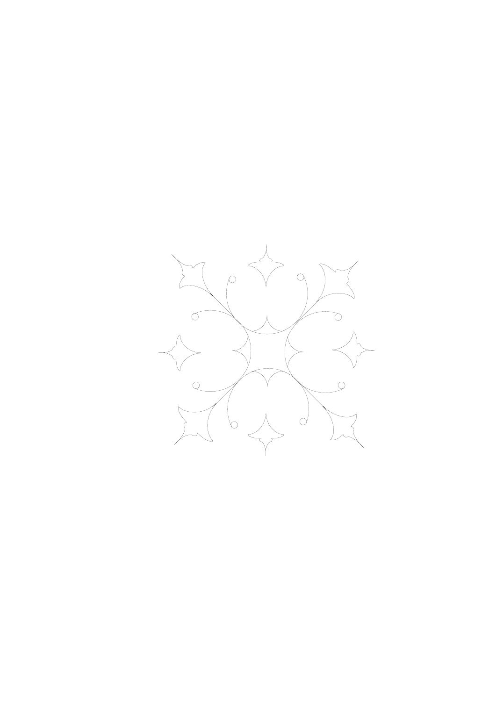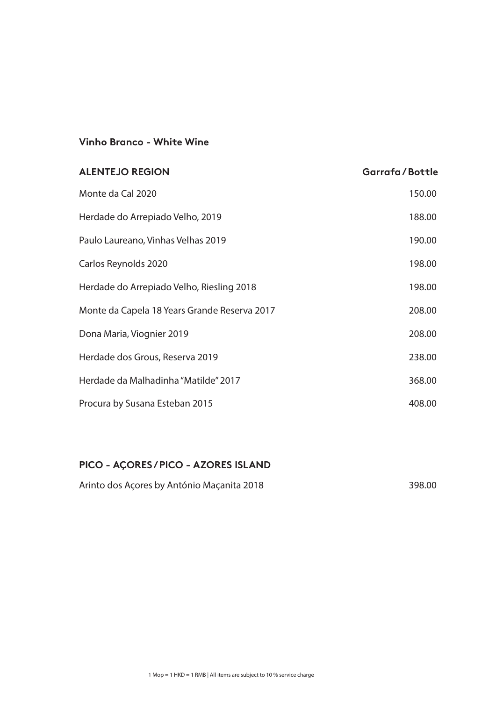## **Vinho Branco - White Wine**

| <b>ALENTEJO REGION</b>                       | Garrafa/Bottle |
|----------------------------------------------|----------------|
| Monte da Cal 2020                            | 150.00         |
| Herdade do Arrepiado Velho, 2019             | 188.00         |
| Paulo Laureano, Vinhas Velhas 2019           | 190.00         |
| Carlos Reynolds 2020                         | 198.00         |
| Herdade do Arrepiado Velho, Riesling 2018    | 198.00         |
| Monte da Capela 18 Years Grande Reserva 2017 | 208.00         |
| Dona Maria, Viognier 2019                    | 208.00         |
| Herdade dos Grous, Reserva 2019              | 238.00         |
| Herdade da Malhadinha "Matilde" 2017         | 368.00         |
| Procura by Susana Esteban 2015               | 408.00         |

# **PICO - AÇORES / PICO - AZORES ISLAND**

| Arinto dos Açores by António Maçanita 2018 | 398.00 |
|--------------------------------------------|--------|
|--------------------------------------------|--------|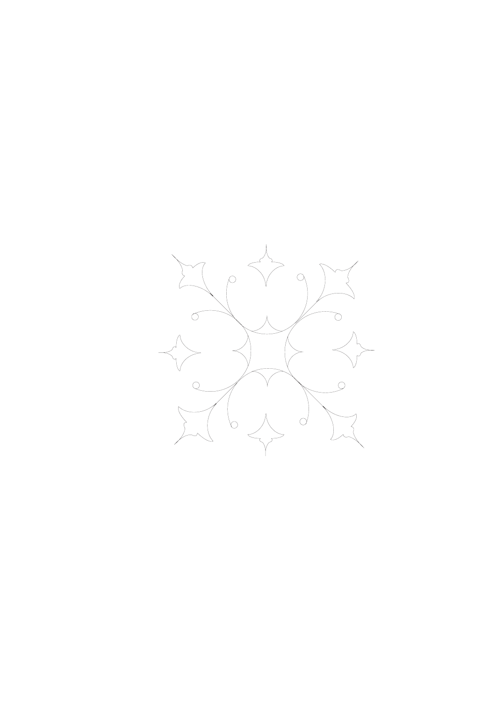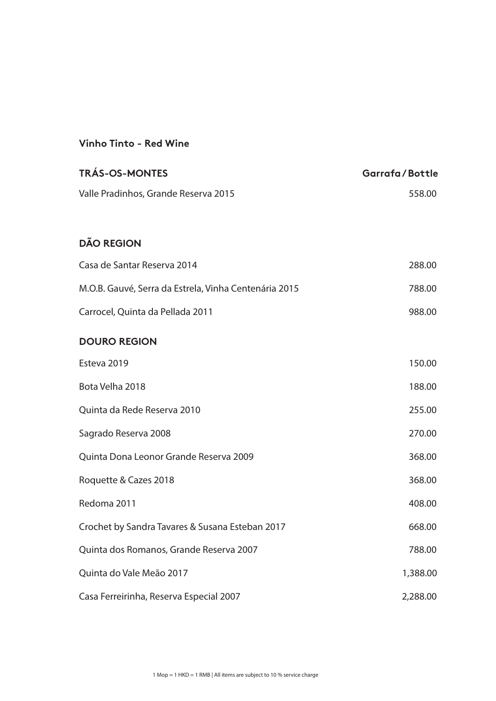| <b>Vinho Tinto - Red Wine</b> |  |
|-------------------------------|--|
|-------------------------------|--|

| <b>TRÁS-OS-MONTES</b>                                 | Garrafa/Bottle |
|-------------------------------------------------------|----------------|
| Valle Pradinhos, Grande Reserva 2015                  | 558.00         |
|                                                       |                |
| <b>DÃO REGION</b>                                     |                |
| Casa de Santar Reserva 2014                           | 288.00         |
| M.O.B. Gauvé, Serra da Estrela, Vinha Centenária 2015 | 788.00         |
| Carrocel, Quinta da Pellada 2011                      | 988.00         |
| <b>DOURO REGION</b>                                   |                |
| Esteva 2019                                           | 150.00         |
| Bota Velha 2018                                       | 188.00         |
| Quinta da Rede Reserva 2010                           | 255.00         |
| Sagrado Reserva 2008                                  | 270.00         |
| Quinta Dona Leonor Grande Reserva 2009                | 368.00         |
| Roquette & Cazes 2018                                 | 368.00         |
| Redoma 2011                                           | 408.00         |
| Crochet by Sandra Tavares & Susana Esteban 2017       | 668.00         |
| Quinta dos Romanos, Grande Reserva 2007               | 788.00         |
| Quinta do Vale Meão 2017                              | 1,388.00       |
| Casa Ferreirinha, Reserva Especial 2007               | 2,288.00       |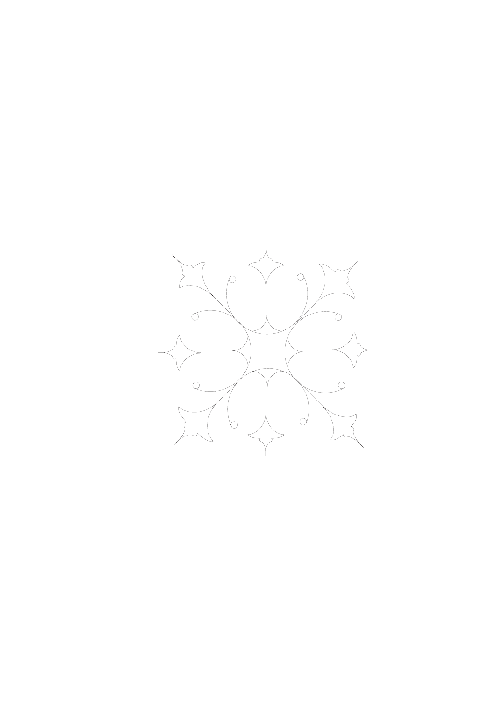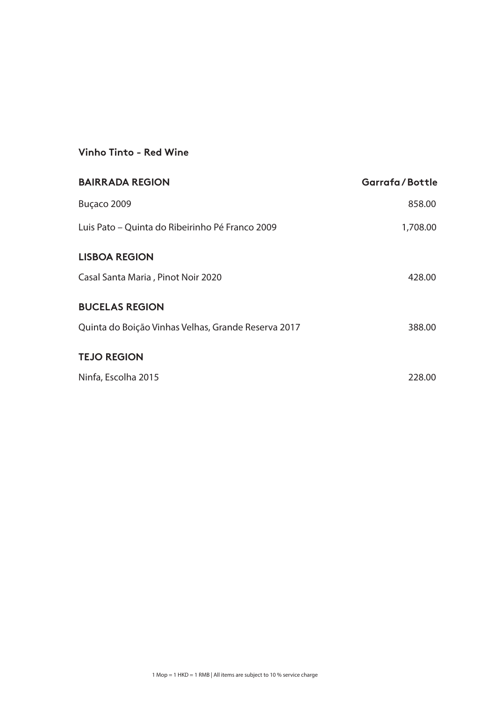## **Vinho Tinto - Red Wine**

| <b>BAIRRADA REGION</b>                              | Garrafa/Bottle |
|-----------------------------------------------------|----------------|
| Buçaco 2009                                         | 858.00         |
| Luis Pato – Quinta do Ribeirinho Pé Franco 2009     | 1,708.00       |
| <b>LISBOA REGION</b>                                |                |
| Casal Santa Maria, Pinot Noir 2020                  | 428.00         |
| <b>BUCELAS REGION</b>                               |                |
| Quinta do Boição Vinhas Velhas, Grande Reserva 2017 | 388.00         |
| <b>TEJO REGION</b>                                  |                |
| Ninfa, Escolha 2015                                 | 228.00         |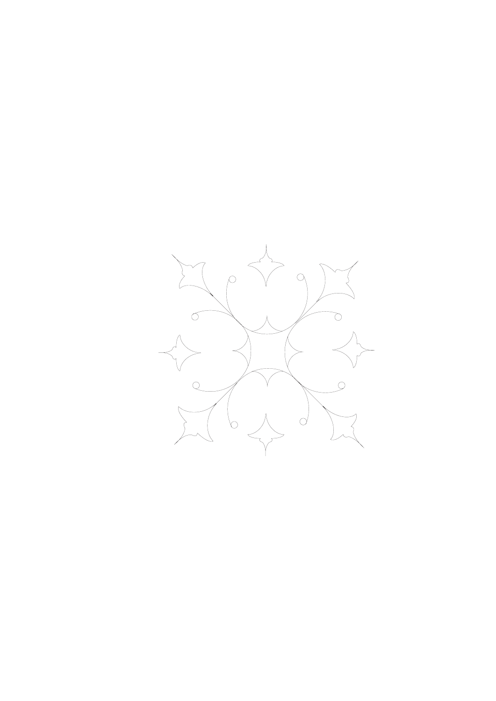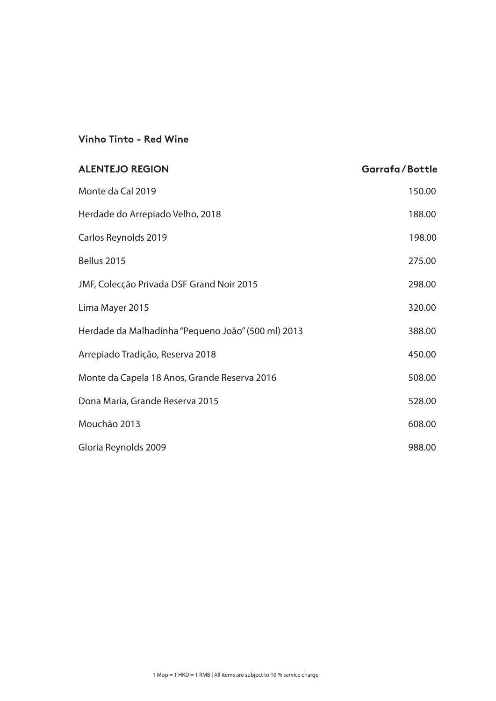## **Vinho Tinto - Red Wine**

| <b>ALENTEJO REGION</b>                             | Garrafa/Bottle |
|----------------------------------------------------|----------------|
| Monte da Cal 2019                                  | 150.00         |
| Herdade do Arrepiado Velho, 2018                   | 188.00         |
| Carlos Reynolds 2019                               | 198.00         |
| Bellus 2015                                        | 275.00         |
| JMF, Colecção Privada DSF Grand Noir 2015          | 298.00         |
| Lima Mayer 2015                                    | 320.00         |
| Herdade da Malhadinha "Pequeno João" (500 ml) 2013 | 388.00         |
| Arrepiado Tradição, Reserva 2018                   | 450.00         |
| Monte da Capela 18 Anos, Grande Reserva 2016       | 508.00         |
| Dona Maria, Grande Reserva 2015                    | 528.00         |
| Mouchão 2013                                       | 608.00         |
| Gloria Reynolds 2009                               | 988.00         |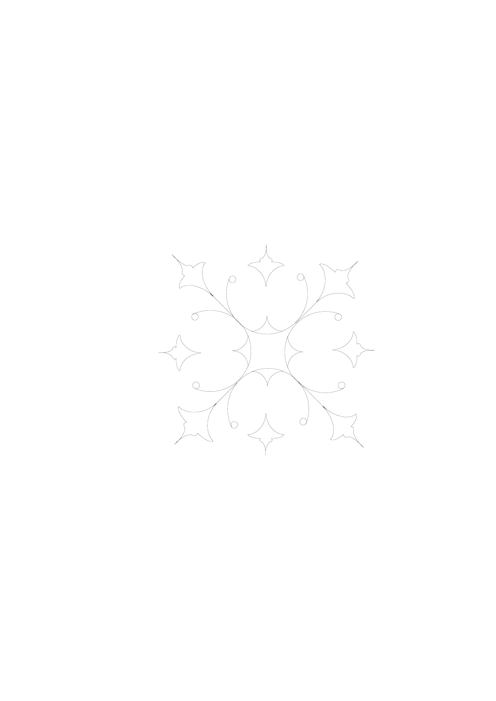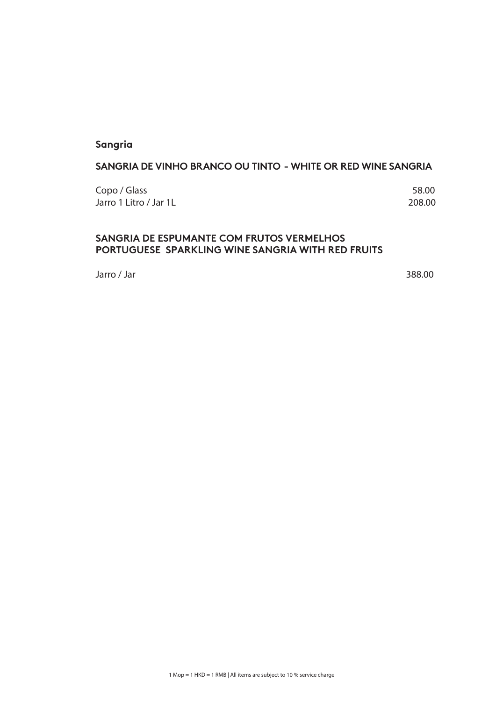## **Sangria**

### **SANGRIA DE VINHO BRANCO OU TINTO - WHITE OR RED WINE SANGRIA**

| Copo / Glass           | 58.00  |
|------------------------|--------|
| Jarro 1 Litro / Jar 1L | 208.00 |

### **SANGRIA DE ESPUMANTE COM FRUTOS VERMELHOS PORTUGUESE SPARKLING WINE SANGRIA WITH RED FRUITS**

Jarro / Jar 388.00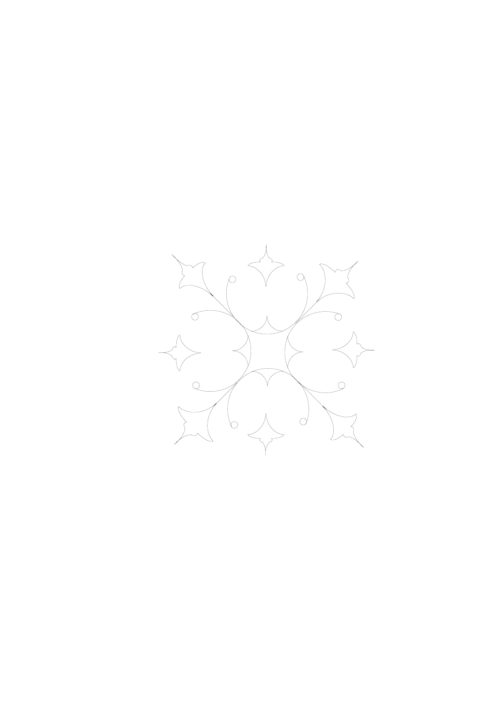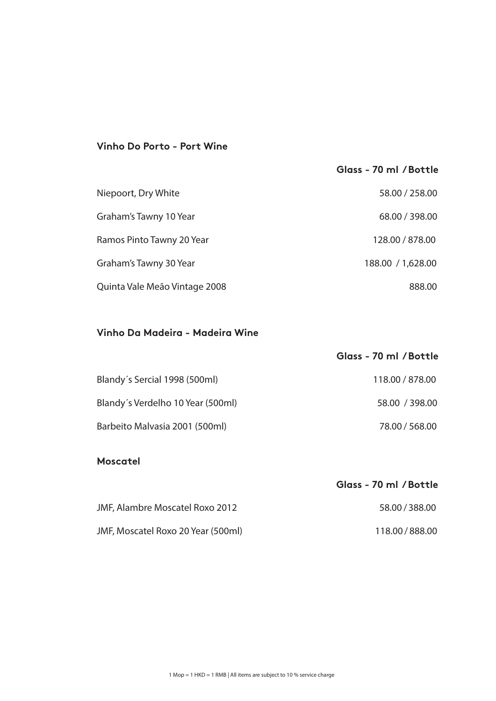### **Vinho Do Porto - Port Wine**

 **Glass - 70 ml / Bottle**

| Niepoort, Dry White           | 58.00 / 258.00    |
|-------------------------------|-------------------|
| Graham's Tawny 10 Year        | 68.00 / 398.00    |
| Ramos Pinto Tawny 20 Year     | 128.00 / 878.00   |
| Graham's Tawny 30 Year        | 188.00 / 1,628.00 |
| Quinta Vale Meão Vintage 2008 | 888.00            |

## **Vinho Da Madeira - Madeira Wine**

|                                   | Glass - 70 ml / Bottle |
|-----------------------------------|------------------------|
| Blandy's Sercial 1998 (500ml)     | 118.00 / 878.00        |
| Blandy's Verdelho 10 Year (500ml) | 58.00 / 398.00         |
| Barbeito Malvasia 2001 (500ml)    | 78.00 / 568.00         |

### **Moscatel**

|                                    | Glass - 70 ml / Bottle |
|------------------------------------|------------------------|
| JMF, Alambre Moscatel Roxo 2012    | 58.00 / 388.00         |
| JMF, Moscatel Roxo 20 Year (500ml) | 118.00 / 888.00        |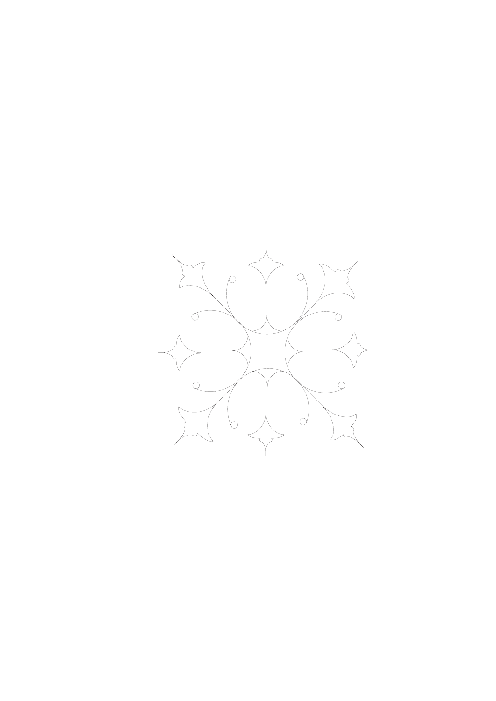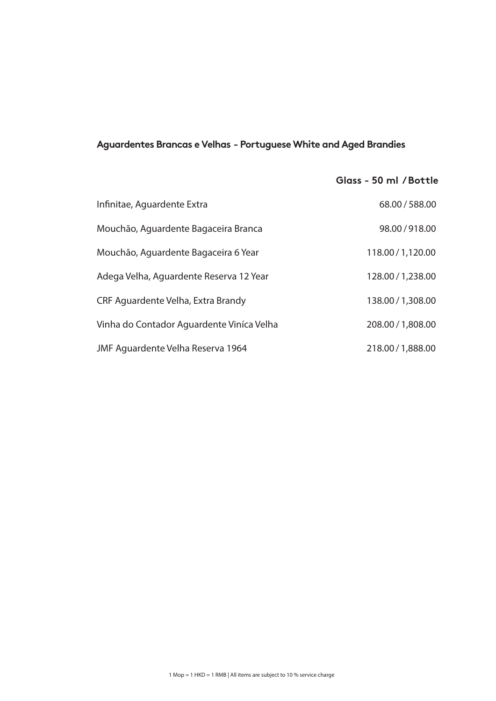# **Aguardentes Brancas e Velhas - Portuguese White and Aged Brandies**

 **Glass - 50 ml / Bottle**

| Infinitae, Aguardente Extra               | 68.00 / 588.00    |
|-------------------------------------------|-------------------|
| Mouchão, Aguardente Bagaceira Branca      | 98.00/918.00      |
| Mouchão, Aguardente Bagaceira 6 Year      | 118.00/1,120.00   |
| Adega Velha, Aguardente Reserva 12 Year   | 128.00 / 1,238.00 |
| CRF Aquardente Velha, Extra Brandy        | 138.00 / 1,308.00 |
| Vinha do Contador Aguardente Viníca Velha | 208.00 / 1,808.00 |
| <b>JMF Aquardente Velha Reserva 1964</b>  | 218.00 / 1,888.00 |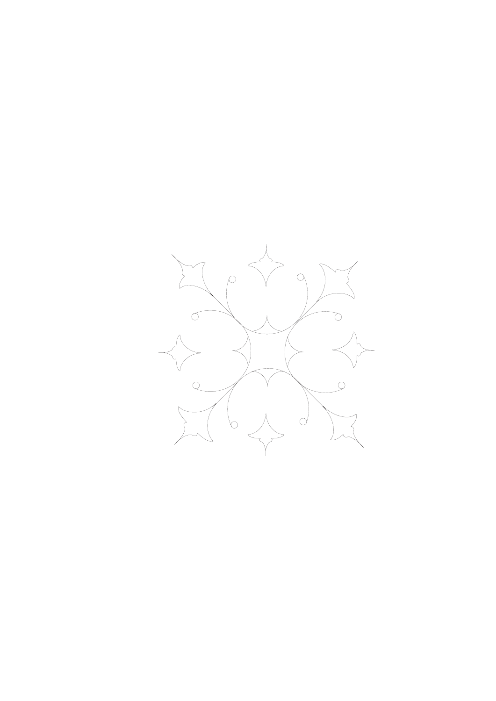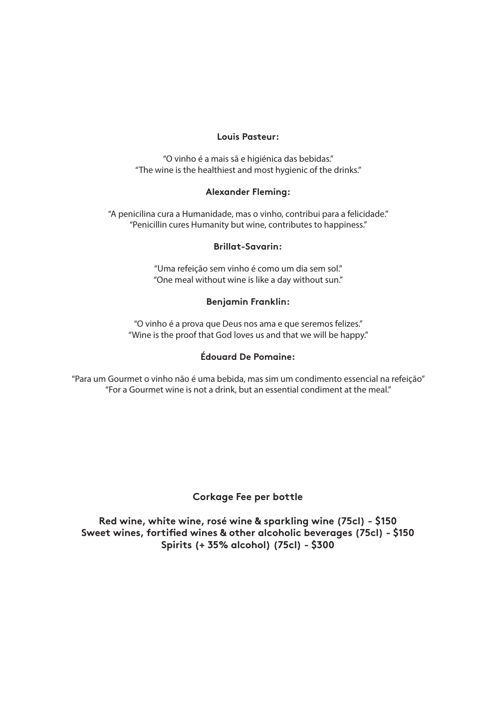### **Louis Pasteur:**

"O vinho é a mais sã e higiénica das bebidas." "The wine is the healthiest and most hygienic of the drinks."

#### **Alexander Fleming:**

"A penicilina cura a Humanidade, mas o vinho, contribui para a felicidade." "Penicillin cures Humanity but wine, contributes to happiness."

### **Brillat-Savarin:**

"Uma refeição sem vinho é como um dia sem sol." "One meal without wine is like a day without sun."

### **Benjamin Franklin:**

"O vinho é a prova que Deus nos ama e que seremos felizes." "Wine is the proof that God loves us and that we will be happy."

### **Édouard De Pomaine:**

"Para um Gourmet o vinho não é uma bebida, mas sim um condimento essencial na refeição" "For a Gourmet wine is not a drink, but an essential condiment at the meal."

### **Corkage Fee per bottle**

**Red wine, white wine, rosé wine & sparkling wine (75cl) - \$150 Sweet wines, fortified wines & other alcoholic beverages (75cl) - \$150 Spirits (+ 35% alcohol) (75cl) - \$300**